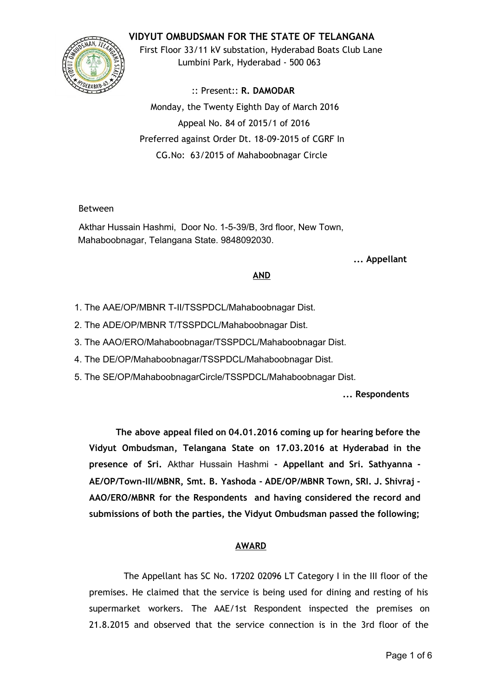### **VIDYUT OMBUDSMAN FOR THE STATE OF TELANGANA**



First Floor 33/11 kV substation, Hyderabad Boats Club Lane Lumbini Park, Hyderabad ‐ 500 063

:: Present:: **R. DAMODAR** Monday, the Twenty Eighth Day of March 2016 Appeal No. 84 of 2015/1 of 2016 Preferred against Order Dt. 18‐09‐2015 of CGRF In CG.No: 63/2015 of Mahaboobnagar Circle

#### Between

Akthar Hussain Hashmi, Door No. 1-5-39/B, 3rd floor, New Town, Mahaboobnagar, Telangana State. 9848092030.

**... Appellant**

#### **AND**

- 1. The AAE/OP/MBNR T-II/TSSPDCL/Mahaboobnagar Dist.
- 2. The ADE/OP/MBNR T/TSSPDCL/Mahaboobnagar Dist.
- 3. The AAO/ERO/Mahaboobnagar/TSSPDCL/Mahaboobnagar Dist.
- 4. The DE/OP/Mahaboobnagar/TSSPDCL/Mahaboobnagar Dist.
- 5. The SE/OP/MahaboobnagarCircle/TSSPDCL/Mahaboobnagar Dist.

**... Respondents**

**The above appeal filed on 04.01.2016 coming up for hearing before the Vidyut Ombudsman, Telangana State on 17.03.2016 at Hyderabad in the presence of Sri.** Akthar Hussain Hashmi **‐ Appellant and Sri. Sathyanna ‐ AE/OP/Town‐IIl/MBNR, Smt. B. Yashoda ‐ ADE/OP/MBNR Town, SRI. J. Shivraj ‐ AAO/ERO/MBNR for the Respondents and having considered the record and submissions of both the parties, the Vidyut Ombudsman passed the following;**

# **AWARD**

The Appellant has SC No. 17202 02096 LT Category I in the III floor of the premises. He claimed that the service is being used for dining and resting of his supermarket workers. The AAE/1st Respondent inspected the premises on 21.8.2015 and observed that the service connection is in the 3rd floor of the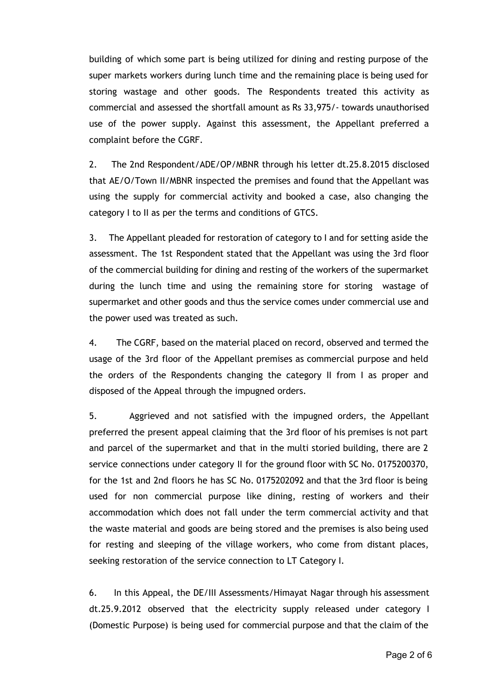building of which some part is being utilized for dining and resting purpose of the super markets workers during lunch time and the remaining place is being used for storing wastage and other goods. The Respondents treated this activity as commercial and assessed the shortfall amount as Rs 33,975/‐ towards unauthorised use of the power supply. Against this assessment, the Appellant preferred a complaint before the CGRF.

2. The 2nd Respondent/ADE/OP/MBNR through his letter dt.25.8.2015 disclosed that AE/O/Town II/MBNR inspected the premises and found that the Appellant was using the supply for commercial activity and booked a case, also changing the category I to II as per the terms and conditions of GTCS.

3. The Appellant pleaded for restoration of category to I and for setting aside the assessment. The 1st Respondent stated that the Appellant was using the 3rd floor of the commercial building for dining and resting of the workers of the supermarket during the lunch time and using the remaining store for storing wastage of supermarket and other goods and thus the service comes under commercial use and the power used was treated as such.

4. The CGRF, based on the material placed on record, observed and termed the usage of the 3rd floor of the Appellant premises as commercial purpose and held the orders of the Respondents changing the category II from I as proper and disposed of the Appeal through the impugned orders.

5. Aggrieved and not satisfied with the impugned orders, the Appellant preferred the present appeal claiming that the 3rd floor of his premises is not part and parcel of the supermarket and that in the multi storied building, there are 2 service connections under category II for the ground floor with SC No. 0175200370, for the 1st and 2nd floors he has SC No. 0175202092 and that the 3rd floor is being used for non commercial purpose like dining, resting of workers and their accommodation which does not fall under the term commercial activity and that the waste material and goods are being stored and the premises is also being used for resting and sleeping of the village workers, who come from distant places, seeking restoration of the service connection to LT Category I.

6. In this Appeal, the DE/III Assessments/Himayat Nagar through his assessment dt.25.9.2012 observed that the electricity supply released under category I (Domestic Purpose) is being used for commercial purpose and that the claim of the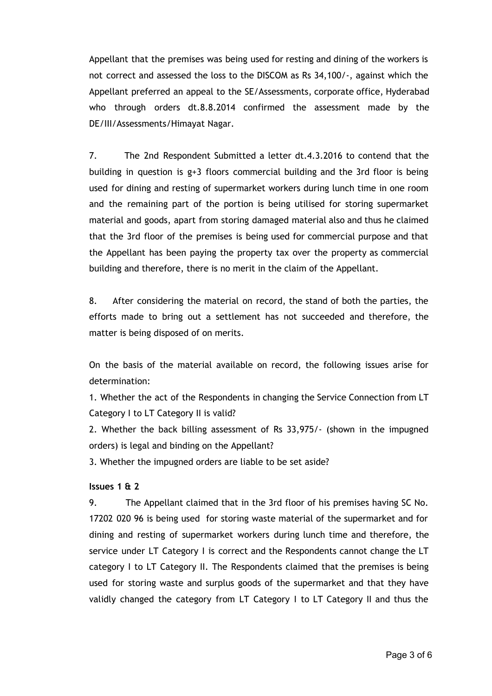Appellant that the premises was being used for resting and dining of the workers is not correct and assessed the loss to the DISCOM as Rs 34,100/‐, against which the Appellant preferred an appeal to the SE/Assessments, corporate office, Hyderabad who through orders dt.8.8.2014 confirmed the assessment made by the DE/III/Assessments/Himayat Nagar.

7. The 2nd Respondent Submitted a letter dt.4.3.2016 to contend that the building in question is  $g+3$  floors commercial building and the 3rd floor is being used for dining and resting of supermarket workers during lunch time in one room and the remaining part of the portion is being utilised for storing supermarket material and goods, apart from storing damaged material also and thus he claimed that the 3rd floor of the premises is being used for commercial purpose and that the Appellant has been paying the property tax over the property as commercial building and therefore, there is no merit in the claim of the Appellant.

8. After considering the material on record, the stand of both the parties, the efforts made to bring out a settlement has not succeeded and therefore, the matter is being disposed of on merits.

On the basis of the material available on record, the following issues arise for determination:

1. Whether the act of the Respondents in changing the Service Connection from LT Category I to LT Category II is valid?

2. Whether the back billing assessment of Rs 33,975/‐ (shown in the impugned orders) is legal and binding on the Appellant?

3. Whether the impugned orders are liable to be set aside?

### **Issues 1 & 2**

9. The Appellant claimed that in the 3rd floor of his premises having SC No. 17202 020 96 is being used for storing waste material of the supermarket and for dining and resting of supermarket workers during lunch time and therefore, the service under LT Category I is correct and the Respondents cannot change the LT category I to LT Category II. The Respondents claimed that the premises is being used for storing waste and surplus goods of the supermarket and that they have validly changed the category from LT Category I to LT Category II and thus the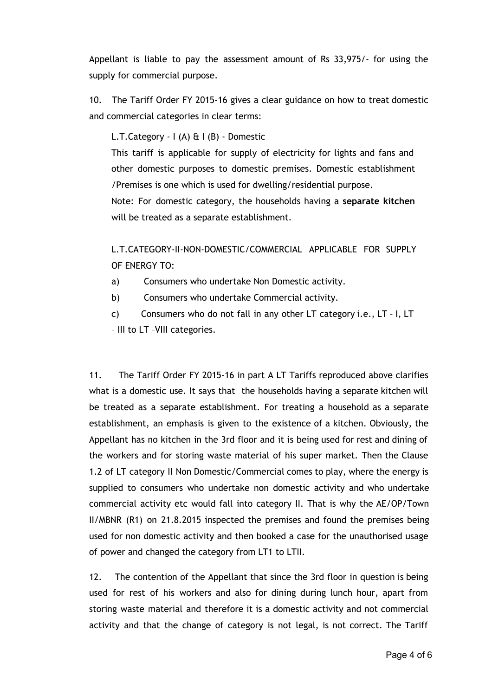Appellant is liable to pay the assessment amount of Rs 33,975/‐ for using the supply for commercial purpose.

10. The Tariff Order FY 2015‐16 gives a clear guidance on how to treat domestic and commercial categories in clear terms:

L.T.Category  $-$  I (A)  $\&$  I (B)  $-$  Domestic

This tariff is applicable for supply of electricity for lights and fans and other domestic purposes to domestic premises. Domestic establishment /Premises is one which is used for dwelling/residential purpose.

Note: For domestic category, the households having a **separate kitchen** will be treated as a separate establishment.

L.T.CATEGORY‐II‐NON‐DOMESTIC/COMMERCIAL APPLICABLE FOR SUPPLY OF ENERGY TO:

- a) Consumers who undertake Non Domestic activity.
- b) Consumers who undertake Commercial activity.
- c) Consumers who do not fall in any other LT category i.e., LT I, LT – III to LT –VIII categories.

11. The Tariff Order FY 2015-16 in part A LT Tariffs reproduced above clarifies what is a domestic use. It says that the households having a separate kitchen will be treated as a separate establishment. For treating a household as a separate establishment, an emphasis is given to the existence of a kitchen. Obviously, the Appellant has no kitchen in the 3rd floor and it is being used for rest and dining of the workers and for storing waste material of his super market. Then the Clause 1.2 of LT category II Non Domestic/Commercial comes to play, where the energy is supplied to consumers who undertake non domestic activity and who undertake commercial activity etc would fall into category II. That is why the AE/OP/Town II/MBNR (R1) on 21.8.2015 inspected the premises and found the premises being used for non domestic activity and then booked a case for the unauthorised usage of power and changed the category from LT1 to LTII.

12. The contention of the Appellant that since the 3rd floor in question is being used for rest of his workers and also for dining during lunch hour, apart from storing waste material and therefore it is a domestic activity and not commercial activity and that the change of category is not legal, is not correct. The Tariff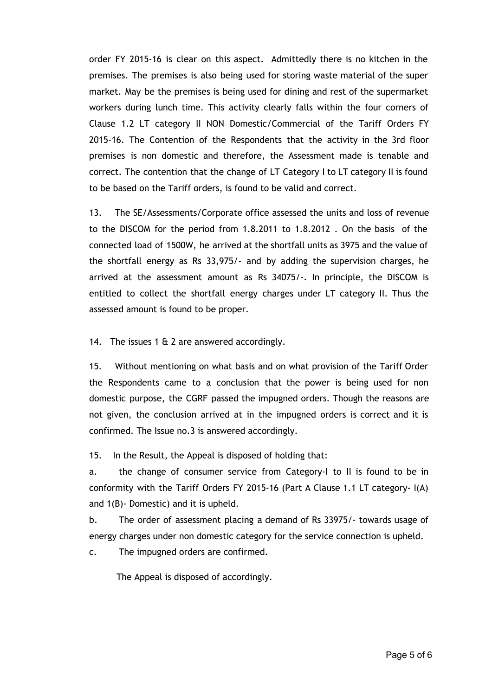order FY 2015-16 is clear on this aspect. Admittedly there is no kitchen in the premises. The premises is also being used for storing waste material of the super market. May be the premises is being used for dining and rest of the supermarket workers during lunch time. This activity clearly falls within the four corners of Clause 1.2 LT category II NON Domestic/Commercial of the Tariff Orders FY 2015‐16. The Contention of the Respondents that the activity in the 3rd floor premises is non domestic and therefore, the Assessment made is tenable and correct. The contention that the change of LT Category I to LT category II is found to be based on the Tariff orders, is found to be valid and correct.

13. The SE/Assessments/Corporate office assessed the units and loss of revenue to the DISCOM for the period from 1.8.2011 to 1.8.2012 . On the basis of the connected load of 1500W, he arrived at the shortfall units as 3975 and the value of the shortfall energy as Rs 33,975/‐ and by adding the supervision charges, he arrived at the assessment amount as Rs 34075/‐. In principle, the DISCOM is entitled to collect the shortfall energy charges under LT category II. Thus the assessed amount is found to be proper.

14. The issues 1  $\&$  2 are answered accordingly.

15. Without mentioning on what basis and on what provision of the Tariff Order the Respondents came to a conclusion that the power is being used for non domestic purpose, the CGRF passed the impugned orders. Though the reasons are not given, the conclusion arrived at in the impugned orders is correct and it is confirmed. The Issue no.3 is answered accordingly.

15. In the Result, the Appeal is disposed of holding that:

a. the change of consumer service from Category‐I to II is found to be in conformity with the Tariff Orders FY 2015‐16 (Part A Clause 1.1 LT category‐ I(A) and 1(B)‐ Domestic) and it is upheld.

b. The order of assessment placing a demand of Rs 33975/‐ towards usage of energy charges under non domestic category for the service connection is upheld.

c. The impugned orders are confirmed.

The Appeal is disposed of accordingly.